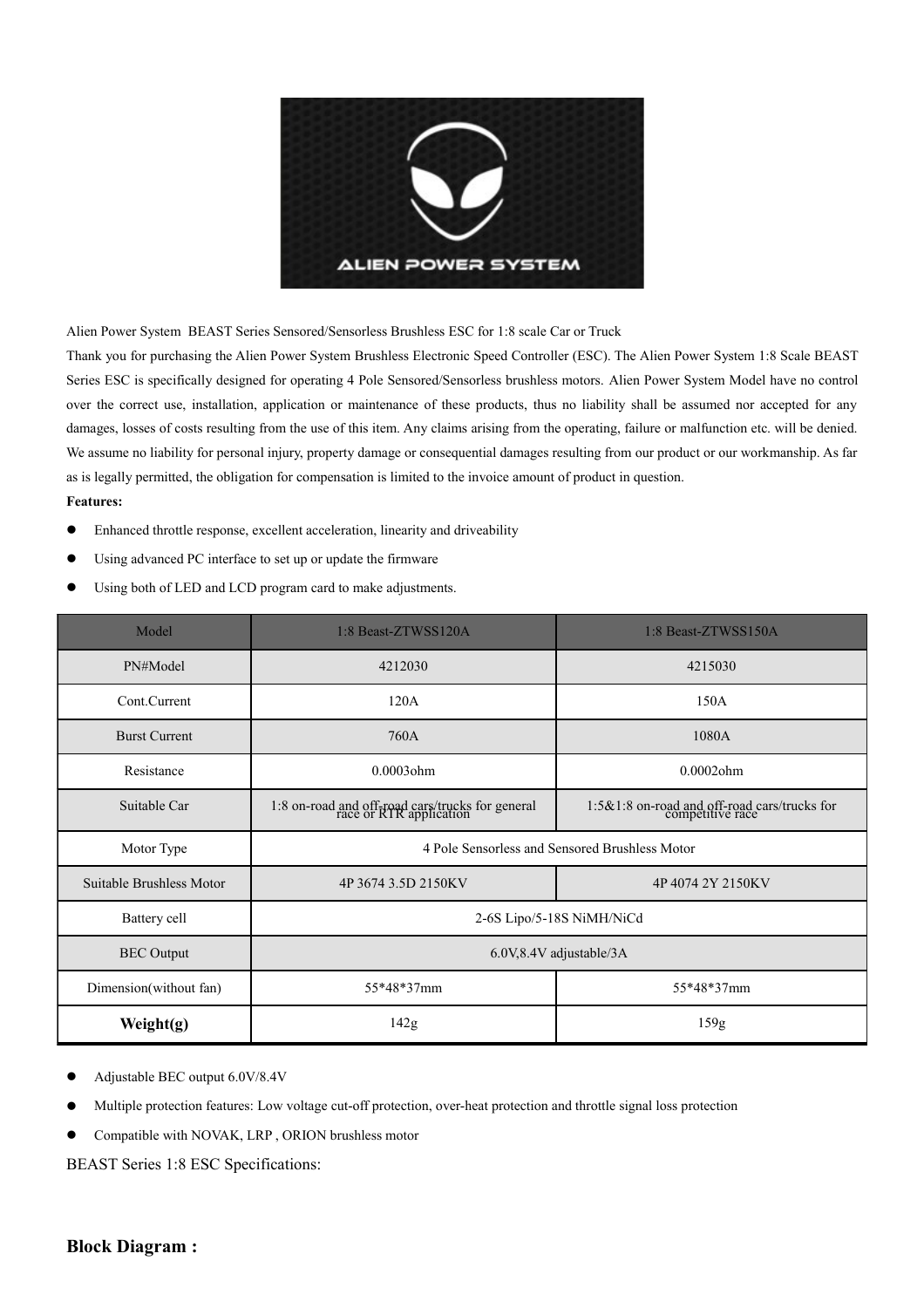

Alien Power System BEAST Series Sensored/Sensorless Brushless ESC for 1:8 scale Car or Truck

Thank you for purchasing the Alien Power System Brushless Electronic Speed Controller (ESC). The Alien Power System 1:8 Scale BEAST Series ESC is specifically designed for operating 4 Pole Sensored/Sensorless brushless motors. Alien Power System Model have no control over the correct use, installation, application or maintenance of these products, thus no liability shall be assumed nor accepted for any damages, losses of costs resulting from the use of this item. Any claims arising from the operating, failure or malfunction etc. will be denied. We assume no liability for personal injury, property damage or consequential damages resulting from our product or our workmanship. As far as is legally permitted, the obligation for compensation is limited to the invoice amount of product in question. **Features:** 

- Enhanced throttle response, excellent acceleration, linearity and driveability
- Using advanced PC interface to set up or update the firmware
- Using both of LED and LCD program card to make adjustments.

| Model                    | 1:8 Beast-ZTWSS120A                                                         | 1:8 Beast-ZTWSS150A                                              |  |  |  |
|--------------------------|-----------------------------------------------------------------------------|------------------------------------------------------------------|--|--|--|
| PN#Model                 | 4212030<br>4215030                                                          |                                                                  |  |  |  |
| Cont.Current             | 120A                                                                        | 150A                                                             |  |  |  |
| <b>Burst Current</b>     | 760A                                                                        | 1080A                                                            |  |  |  |
| Resistance               | $0.0003$ ohm<br>$0.0002$ ohm                                                |                                                                  |  |  |  |
| Suitable Car             | 1:8 on-road and off-road cars/trucks for general<br>race or RTR application | 1:5&1:8 on-road and off-road cars/trucks for<br>competitive race |  |  |  |
| Motor Type               | 4 Pole Sensorless and Sensored Brushless Motor                              |                                                                  |  |  |  |
| Suitable Brushless Motor | 4P 3674 3.5D 2150KV                                                         | 4P40742Y2150KV                                                   |  |  |  |
| Battery cell             |                                                                             | 2-6S Lipo/5-18S NiMH/NiCd                                        |  |  |  |
| <b>BEC</b> Output        | 6.0V,8.4V adjustable/3A                                                     |                                                                  |  |  |  |
| Dimension(without fan)   | 55*48*37mm<br>55*48*37mm                                                    |                                                                  |  |  |  |
| Weight(g)                | 142g<br>159g                                                                |                                                                  |  |  |  |

- Adjustable BEC output 6.0V/8.4V
- Multiple protection features: Low voltage cut-off protection, over-heat protection and throttle signal loss protection

**•** Compatible with NOVAK, LRP, ORION brushless motor

BEAST Series 1:8 ESC Specifications: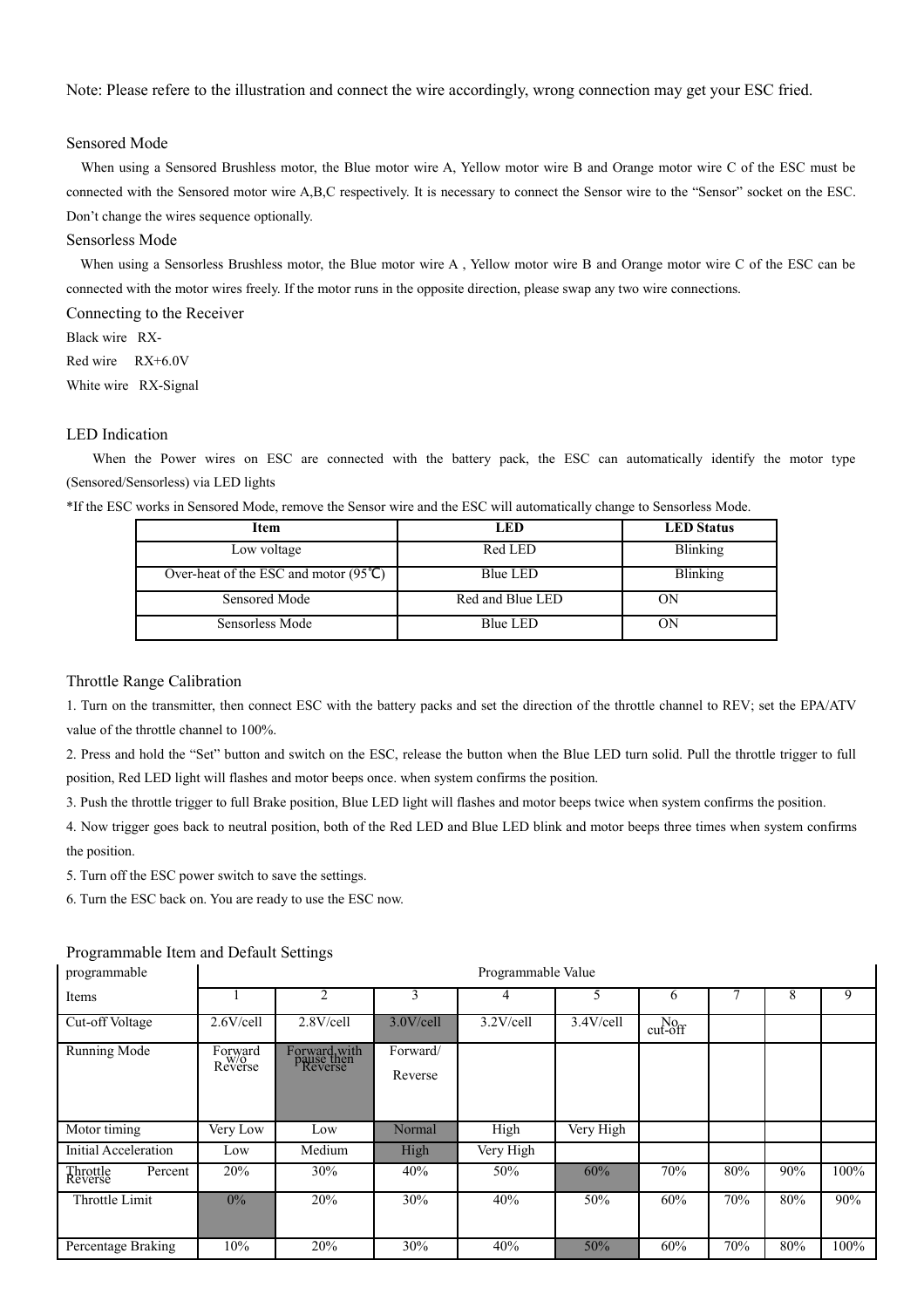Note: Please refere to the illustration and connect the wire accordingly, wrong connection may get your ESC fried.

#### Sensored Mode

 When using a Sensored Brushless motor, the Blue motor wire A, Yellow motor wire B and Orange motor wire C of the ESC must be connected with the Sensored motor wire A,B,C respectively. It is necessary to connect the Sensor wire to the "Sensor" socket on the ESC. Don't change the wires sequence optionally.

### Sensorless Mode

When using a Sensorless Brushless motor, the Blue motor wire A, Yellow motor wire B and Orange motor wire C of the ESC can be connected with the motor wires freely. If the motor runs in the opposite direction, please swap any two wire connections.

Connecting to the Receiver Black wire RX-

Red wire RX+6.0V

White wire RX-Signal

## LED Indication

When the Power wires on ESC are connected with the battery pack, the ESC can automatically identify the motor type (Sensored/Sensorless) via LED lights

\*If the ESC works in Sensored Mode, remove the Sensor wire and the ESC will automatically change to Sensorless Mode.

| <b>Item</b>                                           | LED              | <b>LED</b> Status |  |  |
|-------------------------------------------------------|------------------|-------------------|--|--|
| Low voltage                                           | Red LED          | <b>Blinking</b>   |  |  |
| Over-heat of the ESC and motor $(95^{\circ}\text{C})$ | Blue LED         | <b>Blinking</b>   |  |  |
| Sensored Mode                                         | Red and Blue LED | OΝ                |  |  |
| Sensorless Mode                                       | Blue LED         | OΝ                |  |  |

### Throttle Range Calibration

1. Turn on the transmitter, then connect ESC with the battery packs and set the direction of the throttle channel to REV; set the EPA/ATV value of the throttle channel to 100%.

2. Press and hold the "Set" button and switch on the ESC, release the button when the Blue LED turn solid. Pull the throttle trigger to full position, Red LED light will flashes and motor beeps once. when system confirms the position.

3. Push the throttle trigger to full Brake position, Blue LED light will flashes and motor beeps twice when system confirms the position.

4. Now trigger goes back to neutral position, both of the Red LED and Blue LED blink and motor beeps three times when system confirms the position.

5. Turn off the ESC power switch to save the settings.

6. Turn the ESC back on. You are ready to use the ESC now.

#### Programmable Item and Default Settings

| programmable                   | Programmable Value |                                       |                     |              |              |                         |     |     |      |
|--------------------------------|--------------------|---------------------------------------|---------------------|--------------|--------------|-------------------------|-----|-----|------|
| Items                          |                    | 2                                     | 3                   |              | 5            | 6                       |     | 8   | 9    |
| Cut-off Voltage                | $2.6$ V/cell       | $2.8$ V/cell                          | 3.0V/cell           | $3.2$ V/cell | $3.4$ V/cell | $N0$ <sub>cut-off</sub> |     |     |      |
| Running Mode                   | Forward<br>Reverse | Forward with<br>pause then<br>Reverse | Forward/<br>Reverse |              |              |                         |     |     |      |
| Motor timing                   | Very Low           | Low                                   | Normal              | High         | Very High    |                         |     |     |      |
| Initial Acceleration           | Low                | Medium                                | High                | Very High    |              |                         |     |     |      |
| Percent<br>Throttle<br>Reverse | 20%                | 30%                                   | 40%                 | 50%          | 60%          | 70%                     | 80% | 90% | 100% |
| Throttle Limit                 | $0\%$              | 20%                                   | 30%                 | 40%          | 50%          | 60%                     | 70% | 80% | 90%  |
| Percentage Braking             | 10%                | 20%                                   | 30%                 | 40%          | 50%          | 60%                     | 70% | 80% | 100% |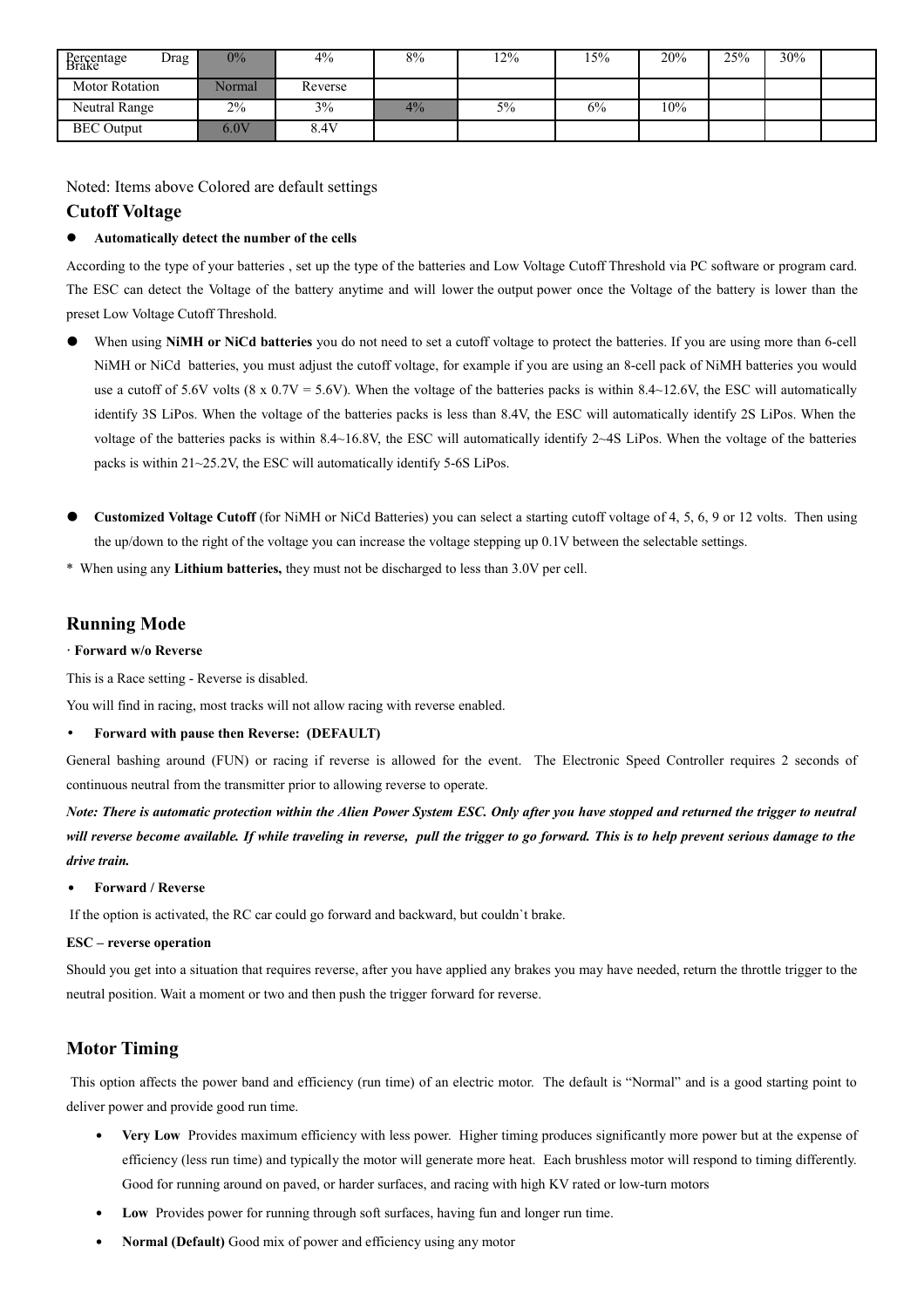| Drag<br>Percentage<br>Brake | $0\%$  | $4\%$   | 8% | 12% | l 5% | 20% | 25% | 30% |  |
|-----------------------------|--------|---------|----|-----|------|-----|-----|-----|--|
| <b>Motor Rotation</b>       | Normal | Reverse |    |     |      |     |     |     |  |
| Neutral Range               | 2%     | 3%      | 4% | 5%  | 6%   | 10% |     |     |  |
| <b>BEC</b> Output           | 6.0V   | 8.4V    |    |     |      |     |     |     |  |

Noted: Items above Colored are default settings

## **Cutoff Voltage**

#### **Automatically detect the number of the cells**

According to the type of your batteries , set up the type of the batteries and Low Voltage Cutoff Threshold via PC software or program card. The ESC can detect the Voltage of the battery anytime and will lower the output power once the Voltage of the battery is lower than the preset Low Voltage Cutoff Threshold.

- When using **NiMH or NiCd batteries** you do not need to set a cutoff voltage to protect the batteries. If you are using more than 6-cell NiMH or NiCd batteries, you must adjust the cutoff voltage, for example if you are using an 8-cell pack of NiMH batteries you would use a cutoff of 5.6V volts (8 x 0.7V = 5.6V). When the voltage of the batteries packs is within 8.4~12.6V, the ESC will automatically identify 3S LiPos. When the voltage of the batteries packs is less than 8.4V, the ESC will automatically identify 2S LiPos. When the voltage of the batteries packs is within 8.4~16.8V, the ESC will automatically identify 2~4S LiPos. When the voltage of the batteries packs is within 21~25.2V, the ESC will automatically identify 5-6S LiPos.
- **Customized Voltage Cutoff** (for NiMH or NiCd Batteries) you can select a starting cutoff voltage of 4, 5, 6, 9 or 12 volts. Then using the up/down to the right of the voltage you can increase the voltage stepping up 0.1V between the selectable settings.
- \* When using any **Lithium batteries,** they must not be discharged to less than 3.0V per cell.

# **Running Mode**

#### **· Forward w/o Reverse**

This is a Race setting - Reverse is disabled.

You will find in racing, most tracks will not allow racing with reverse enabled.

### • **Forward with pause then Reverse: (DEFAULT)**

General bashing around (FUN) or racing if reverse is allowed for the event. The Electronic Speed Controller requires 2 seconds of continuous neutral from the transmitter prior to allowing reverse to operate.

*Note: There is automatic protection within the Alien Power System ESC. Only after you have stopped and returned the trigger to neutral will reverse become available. If while traveling in reverse, pull the trigger to go forward. This is to help prevent serious damage to the drive train.*

#### • **Forward / Reverse**

If the option is activated, the RC car could go forward and backward, but couldn`t brake.

#### **ESC – reverse operation**

Should you get into a situation that requires reverse, after you have applied any brakes you may have needed, return the throttle trigger to the neutral position. Wait a moment or two and then push the trigger forward for reverse.

# **Motor Timing**

 This option affects the power band and efficiency (run time) of an electric motor. The default is "Normal" and is a good starting point to deliver power and provide good run time.

- **Very Low** Provides maximum efficiency with less power. Higher timing produces significantly more power but at the expense of efficiency (less run time) and typically the motor will generate more heat. Each brushless motor will respond to timing differently. Good for running around on paved, or harder surfaces, and racing with high KV rated or low-turn motors
- Low Provides power for running through soft surfaces, having fun and longer run time.
- **Normal (Default)** Good mix of power and efficiency using any motor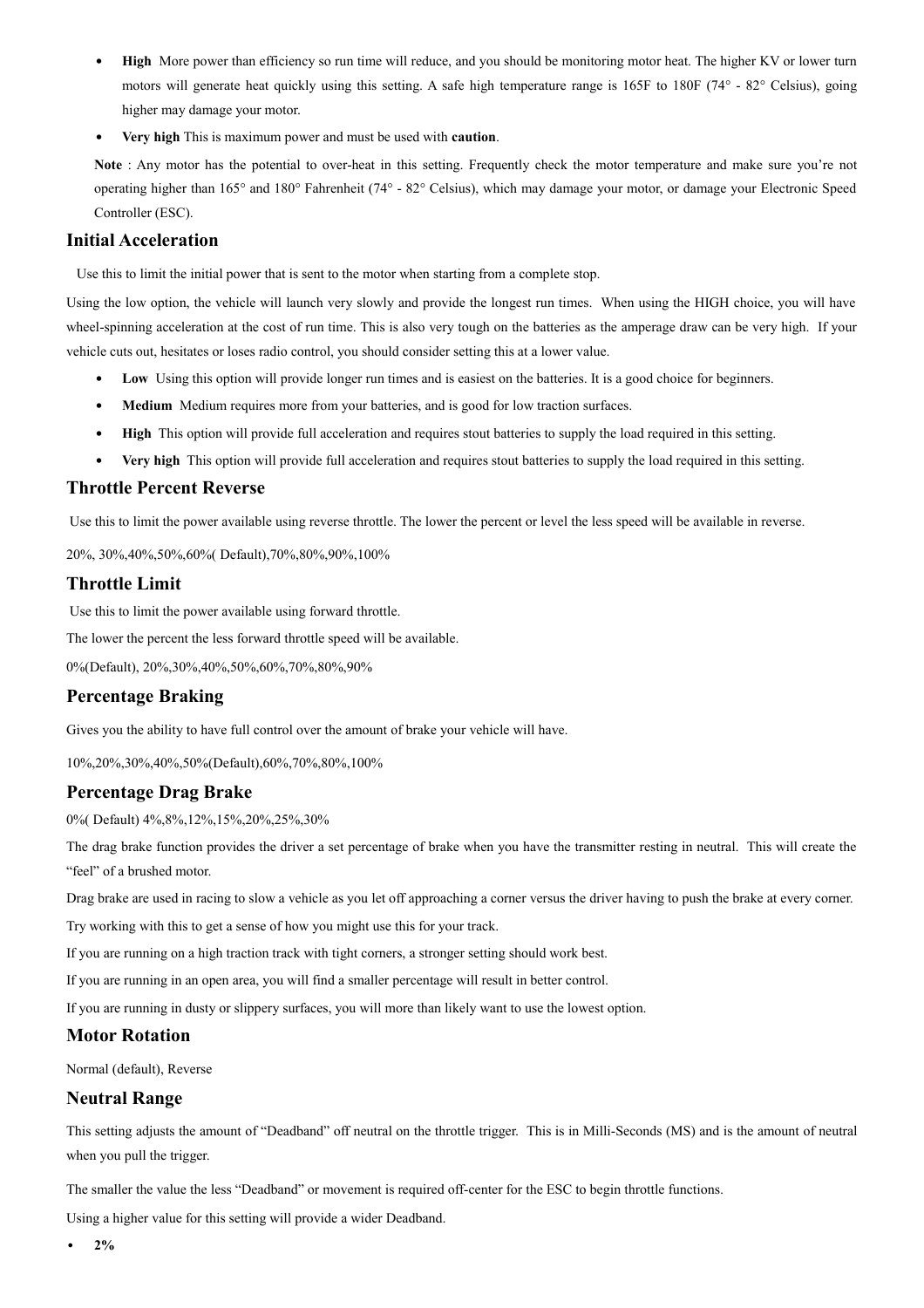- **High** More power than efficiency so run time will reduce, and you should be monitoring motor heat. The higher KV or lower turn motors will generate heat quickly using this setting. A safe high temperature range is 165F to 180F (74° - 82° Celsius), going higher may damage your motor.
- **Very high** This is maximum power and must be used with **caution**.

Note : Any motor has the potential to over-heat in this setting. Frequently check the motor temperature and make sure you're not operating higher than 165° and 180° Fahrenheit (74° - 82° Celsius), which may damage your motor, or damage your Electronic Speed Controller (ESC).

### **Initial Acceleration**

Use this to limit the initial power that is sent to the motor when starting from a complete stop.

Using the low option, the vehicle will launch very slowly and provide the longest run times. When using the HIGH choice, you will have wheel-spinning acceleration at the cost of run time. This is also very tough on the batteries as the amperage draw can be very high. If your vehicle cuts out, hesitates or loses radio control, you should consider setting this at a lower value.

- Low Using this option will provide longer run times and is easiest on the batteries. It is a good choice for beginners.
- **Medium** Medium requires more from your batteries, and is good for low traction surfaces.
- **High** This option will provide full acceleration and requires stout batteries to supply the load required in this setting.
- **Very high** This option will provide full acceleration and requires stout batteries to supply the load required in this setting.

### **Throttle Percent Reverse**

Use this to limit the power available using reverse throttle. The lower the percent or level the less speed will be available in reverse.

20%, 30%,40%,50%,60%( Default),70%,80%,90%,100%

## **Throttle Limit**

Use this to limit the power available using forward throttle.

The lower the percent the less forward throttle speed will be available.

0%(Default), 20%,30%,40%,50%,60%,70%,80%,90%

### **Percentage Braking**

Gives you the ability to have full control over the amount of brake your vehicle will have.

10%,20%,30%,40%,50%(Default),60%,70%,80%,100%

### **Percentage Drag Brake**

0%( Default) 4%,8%,12%,15%,20%,25%,30%

The drag brake function provides the driver a set percentage of brake when you have the transmitter resting in neutral. This will create the "feel" of a brushed motor.

Drag brake are used in racing to slow a vehicle as you let off approaching a corner versus the driver having to push the brake at every corner.

Try working with this to get a sense of how you might use this for your track.

If you are running on a high traction track with tight corners, a stronger setting should work best.

If you are running in an open area, you will find a smaller percentage will result in better control.

If you are running in dusty or slippery surfaces, you will more than likely want to use the lowest option.

### **Motor Rotation**

Normal (default), Reverse

## **Neutral Range**

This setting adjusts the amount of "Deadband" off neutral on the throttle trigger. This is in Milli-Seconds (MS) and is the amount of neutral when you pull the trigger.

The smaller the value the less "Deadband" or movement is required off-center for the ESC to begin throttle functions.

Using a higher value for this setting will provide a wider Deadband.

• **2%**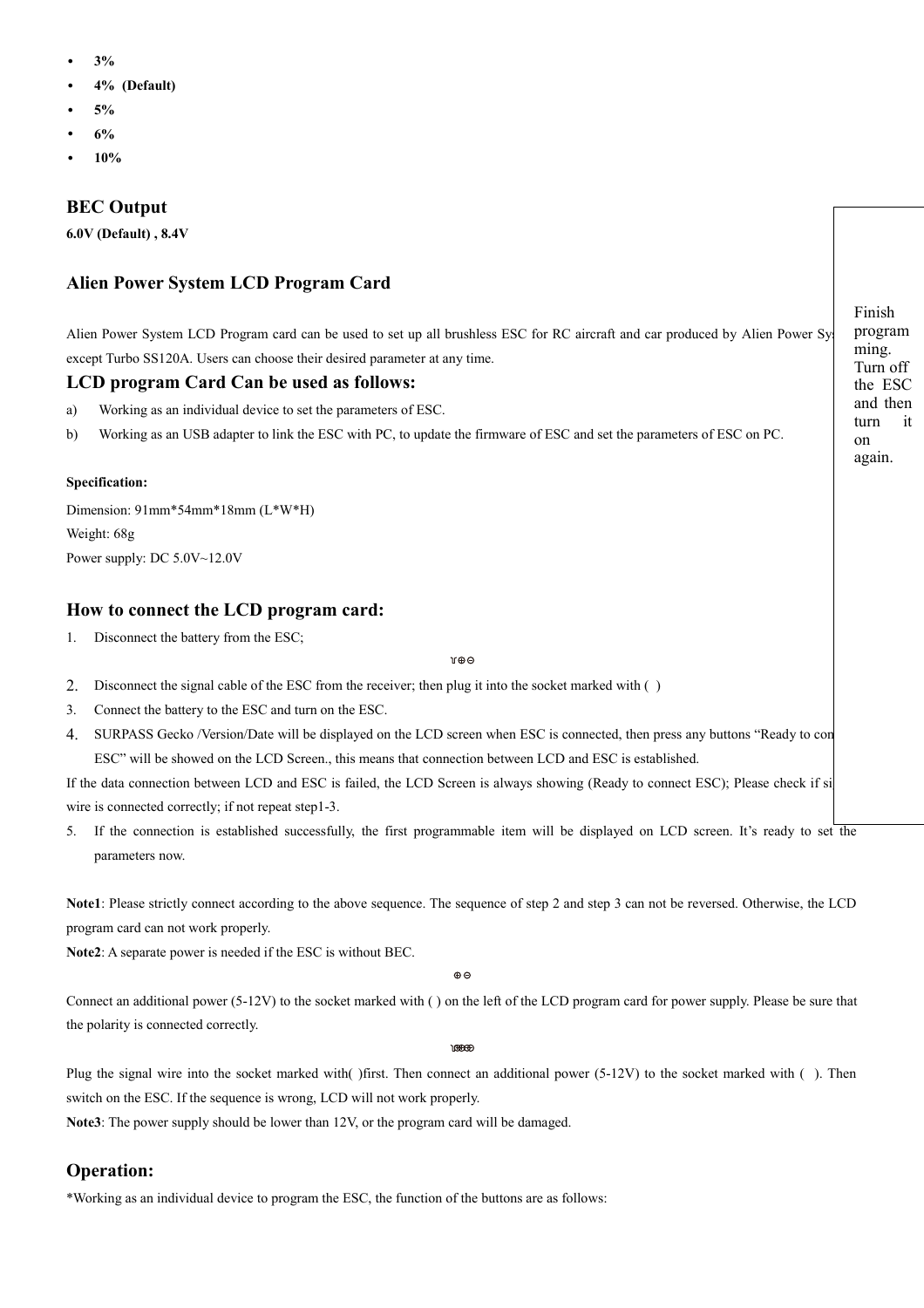- **3%**
- **4% (Default)**
- **5%**
- **6%**
- **10%**

# **BEC Output**

**6.0V (Default) , 8.4V**

# **Alien Power System LCD Program Card**

Alien Power System LCD Program card can be used to set up all brushless ESC for RC aircraft and car produced by Alien Power System except Turbo SS120A. Users can choose their desired parameter at any time.

## **LCD program Card Can be used as follows:**

- a) Working as an individual device to set the parameters of ESC.
- b) Working as an USB adapter to link the ESC with PC, to update the firmware of ESC and set the parameters of ESC on PC.

### **Specification:**

Dimension: 91mm\*54mm\*18mm (L\*W\*H) Weight: 68g Power supply: DC 5.0V~12.0V

# **How to connect the LCD program card:**

1. Disconnect the battery from the ESC;

#### $\mathcal{M} \oplus \mathcal{O}$

- 2. Disconnect the signal cable of the ESC from the receiver; then plug it into the socket marked with ( )
- 3. Connect the battery to the ESC and turn on the ESC.
- 4. SURPASS Gecko /Version/Date will be displayed on the LCD screen when ESC is connected, then press any buttons "Ready to connect ESC" will be showed on the LCD Screen., this means that connection between LCD and ESC is established.

If the data connection between LCD and ESC is failed, the LCD Screen is always showing (Ready to connect ESC); Please check if si wire is connected correctly; if not repeat step1-3.

5. If the connection is established successfully, the first programmable item will be displayed on LCD screen. It's ready to set the parameters now.

**Note1**: Please strictly connect according to the above sequence. The sequence of step 2 and step 3 can not be reversed. Otherwise, the LCD program card can not work properly.

**Note2**: A separate power is needed if the ESC is without BEC.

 $\oplus$   $\oplus$ 

Connect an additional power (5-12V) to the socket marked with ( ) on the left of the LCD program card for power supply. Please be sure that the polarity is connected correctly.

169669

Plug the signal wire into the socket marked with( ) first. Then connect an additional power (5-12V) to the socket marked with ( ). Then switch on the ESC. If the sequence is wrong, LCD will not work properly.

**Note3**: The power supply should be lower than 12V, or the program card will be damaged.

# **Operation:**

\*Working as an individual device to program the ESC, the function of the buttons are as follows:

Finish program ming. Turn off the ESC and then turn it on again.